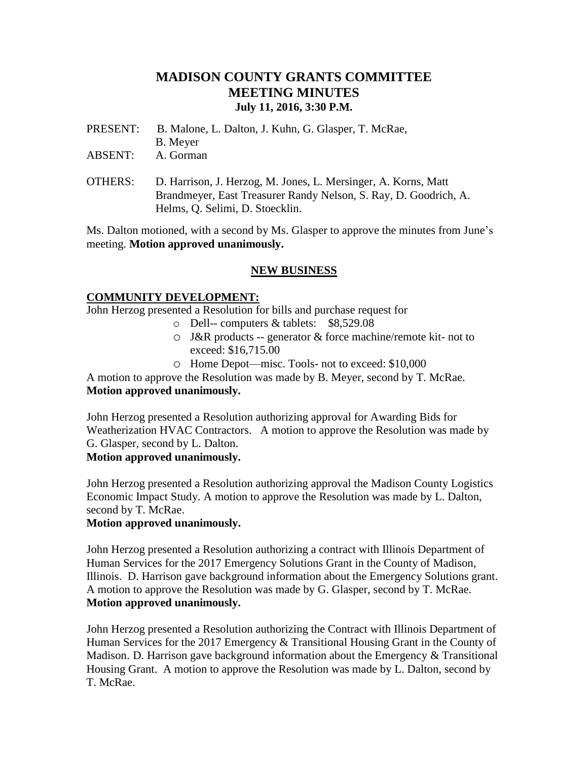# **MADISON COUNTY GRANTS COMMITTEE MEETING MINUTES July 11, 2016, 3:30 P.M.**

- PRESENT: B. Malone, L. Dalton, J. Kuhn, G. Glasper, T. McRae,
- B. Meyer
- ABSENT: A. Gorman
- OTHERS: D. Harrison, J. Herzog, M. Jones, L. Mersinger, A. Korns, Matt Brandmeyer, East Treasurer Randy Nelson, S. Ray, D. Goodrich, A. Helms, Q. Selimi, D. Stoecklin.

Ms. Dalton motioned, with a second by Ms. Glasper to approve the minutes from June's meeting. **Motion approved unanimously.**

# **NEW BUSINESS**

# **COMMUNITY DEVELOPMENT:**

John Herzog presented a Resolution for bills and purchase request for

- o Dell-- computers & tablets: \$8,529.08
- o J&R products -- generator & force machine/remote kit- not to exceed: \$16,715.00
- o Home Depot—misc. Tools- not to exceed: \$10,000

A motion to approve the Resolution was made by B. Meyer, second by T. McRae. **Motion approved unanimously.**

John Herzog presented a Resolution authorizing approval for Awarding Bids for Weatherization HVAC Contractors. A motion to approve the Resolution was made by G. Glasper, second by L. Dalton.

# **Motion approved unanimously.**

John Herzog presented a Resolution authorizing approval the Madison County Logistics Economic Impact Study. A motion to approve the Resolution was made by L. Dalton, second by T. McRae.

# **Motion approved unanimously.**

John Herzog presented a Resolution authorizing a contract with Illinois Department of Human Services for the 2017 Emergency Solutions Grant in the County of Madison, Illinois. D. Harrison gave background information about the Emergency Solutions grant. A motion to approve the Resolution was made by G. Glasper, second by T. McRae. **Motion approved unanimously.**

John Herzog presented a Resolution authorizing the Contract with Illinois Department of Human Services for the 2017 Emergency & Transitional Housing Grant in the County of Madison. D. Harrison gave background information about the Emergency & Transitional Housing Grant. A motion to approve the Resolution was made by L. Dalton, second by T. McRae.